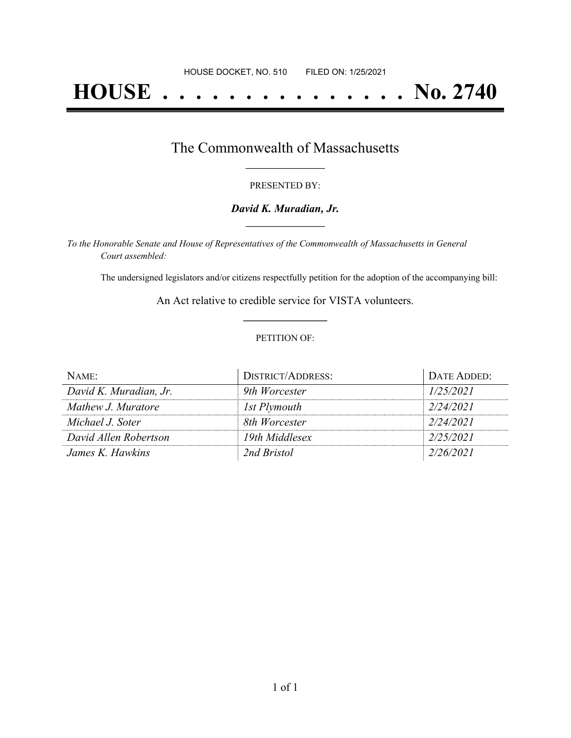# **HOUSE . . . . . . . . . . . . . . . No. 2740**

## The Commonwealth of Massachusetts **\_\_\_\_\_\_\_\_\_\_\_\_\_\_\_\_\_**

#### PRESENTED BY:

#### *David K. Muradian, Jr.* **\_\_\_\_\_\_\_\_\_\_\_\_\_\_\_\_\_**

*To the Honorable Senate and House of Representatives of the Commonwealth of Massachusetts in General Court assembled:*

The undersigned legislators and/or citizens respectfully petition for the adoption of the accompanying bill:

An Act relative to credible service for VISTA volunteers. **\_\_\_\_\_\_\_\_\_\_\_\_\_\_\_**

#### PETITION OF:

| NAME:                  | <b>DISTRICT/ADDRESS:</b> | DATE ADDED: |
|------------------------|--------------------------|-------------|
| David K. Muradian, Jr. | 9th Worcester            | 1/25/2021   |
| Mathew J. Muratore     | 1st Plymouth             | 2/24/2021   |
| Michael J. Soter       | 8th Worcester            | 2/24/2021   |
| David Allen Robertson  | 19th Middlesex           | 2/25/2021   |
| James K. Hawkins       | 2nd Bristol              | 2/26/2021   |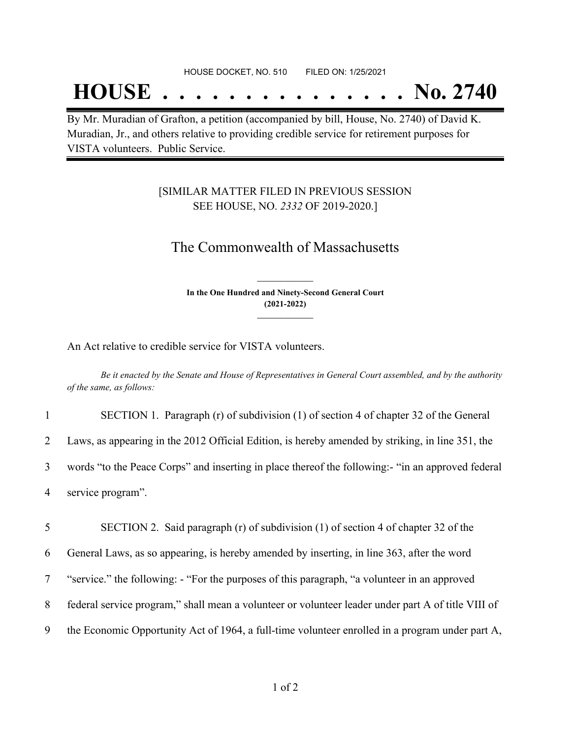## **HOUSE . . . . . . . . . . . . . . . No. 2740**

By Mr. Muradian of Grafton, a petition (accompanied by bill, House, No. 2740) of David K. Muradian, Jr., and others relative to providing credible service for retirement purposes for VISTA volunteers. Public Service.

### [SIMILAR MATTER FILED IN PREVIOUS SESSION SEE HOUSE, NO. *2332* OF 2019-2020.]

## The Commonwealth of Massachusetts

**In the One Hundred and Ninety-Second General Court (2021-2022) \_\_\_\_\_\_\_\_\_\_\_\_\_\_\_**

**\_\_\_\_\_\_\_\_\_\_\_\_\_\_\_**

An Act relative to credible service for VISTA volunteers.

Be it enacted by the Senate and House of Representatives in General Court assembled, and by the authority *of the same, as follows:*

 SECTION 1. Paragraph (r) of subdivision (1) of section 4 of chapter 32 of the General Laws, as appearing in the 2012 Official Edition, is hereby amended by striking, in line 351, the words "to the Peace Corps" and inserting in place thereof the following:- "in an approved federal service program".

 SECTION 2. Said paragraph (r) of subdivision (1) of section 4 of chapter 32 of the General Laws, as so appearing, is hereby amended by inserting, in line 363, after the word "service." the following: - "For the purposes of this paragraph, "a volunteer in an approved federal service program," shall mean a volunteer or volunteer leader under part A of title VIII of the Economic Opportunity Act of 1964, a full-time volunteer enrolled in a program under part A,